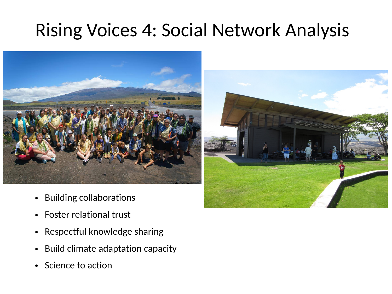### Rising Voices 4: Social Network Analysis



- Building collaborations
- Foster relational trust
- Respectful knowledge sharing
- Build climate adaptation capacity
- Science to action

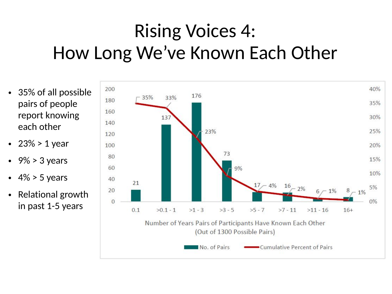# Rising Voices 4: How Long We've Known Each Other

- 35% of all possible pairs of people report knowing each other
- 23% > 1 year
- $9\%$  > 3 years
- $\cdot$  4% > 5 years
- Relational growth in past 1-5 years

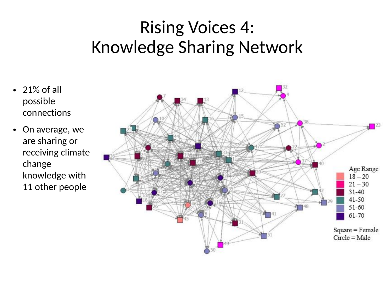#### Rising Voices 4: Knowledge Sharing Network

- 21% of all possible connections
- On average, we are sharing or receiving climate change knowledge with 11 other people

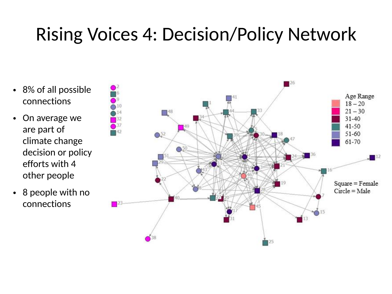## Rising Voices 4: Decision/Policy Network

- 8% of all possible connections
- On average we are part of climate change decision or policy efforts with 4 other people
- 8 people with no connections